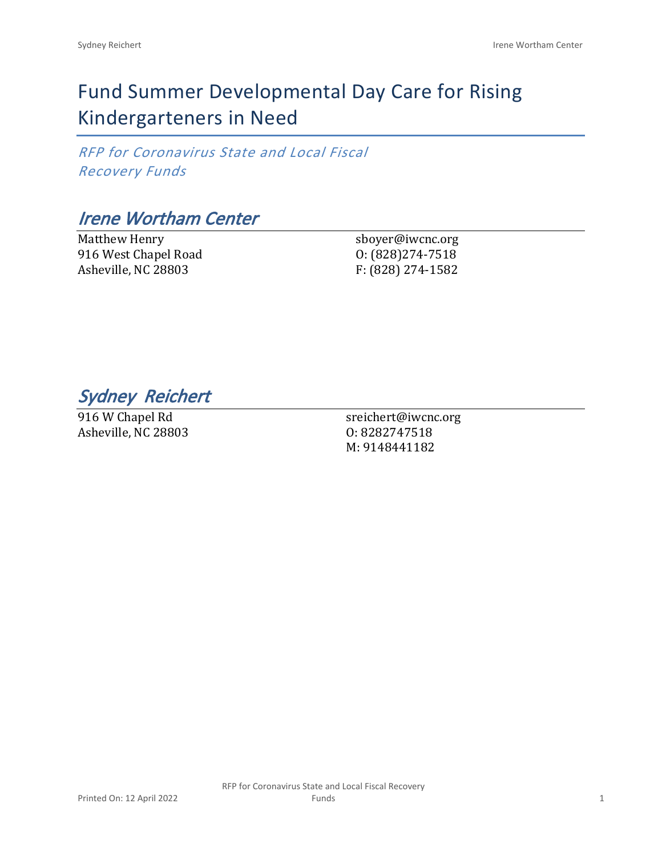# Fund Summer Developmental Day Care for Rising Kindergarteners in Need

*RFP for Coronavirus State and Local Fiscal Recovery Funds*

## *Irene Wortham Center*

Matthew Henry 916 West Chapel Road Asheville, NC 28803

sboyer@iwcnc.org O: (828)274-7518 F: (828) 274-1582

*Sydney Reichert* 

916 W Chapel Rd Asheville, NC 28803

sreichert@iwcnc.org O: 8282747518 M: 9148441182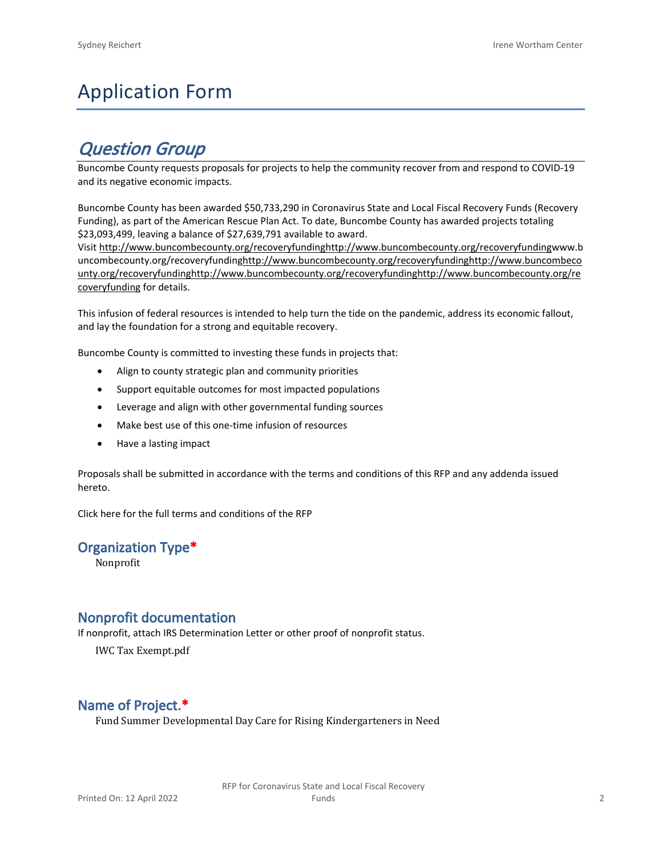# Application Form

## *Question Group*

Buncombe County requests proposals for projects to help the community recover from and respond to COVID-19 and its negative economic impacts.

Buncombe County has been awarded \$50,733,290 in Coronavirus State and Local Fiscal Recovery Funds (Recovery Funding), as part of the American Rescue Plan Act. To date, Buncombe County has awarded projects totaling \$23,093,499, leaving a balance of \$27,639,791 available to award.

Visit [http://www.buncombecounty.org/recoveryfundinghttp://www.buncombecounty.org/recoveryfundingwww.b](http://www.buncombecounty.org/recoveryfunding) [uncombecounty.org/recoveryfundinghttp://www.buncombecounty.org/recoveryfundinghttp://www.buncombeco](http://www.buncombecounty.org/recoveryfunding) [unty.org/recoveryfundinghttp://www.buncombecounty.org/recoveryfundinghttp://www.buncombecounty.org/re](http://www.buncombecounty.org/recoveryfunding) [coveryfunding](http://www.buncombecounty.org/recoveryfunding) for details.

This infusion of federal resources is intended to help turn the tide on the pandemic, address its economic fallout, and lay the foundation for a strong and equitable recovery.

Buncombe County is committed to investing these funds in projects that:

- Align to county strategic plan and community priorities
- Support equitable outcomes for most impacted populations
- Leverage and align with other governmental funding sources
- Make best use of this one-time infusion of resources
- Have a lasting impact

Proposals shall be submitted in accordance with the terms and conditions of this RFP and any addenda issued hereto.

Click [here](https://www.buncombecounty.org/common/purchasing/Buncombe%20Recovery%20Funding%20RFP%202022.pdf) for the full terms and conditions of the RFP

#### **Organization Type\***

Nonprofit

#### **Nonprofit documentation**

If nonprofit, attach IRS Determination Letter or other proof of nonprofit status.

IWC Tax Exempt.pdf

### **Name of Project.\***

Fund Summer Developmental Day Care for Rising Kindergarteners in Need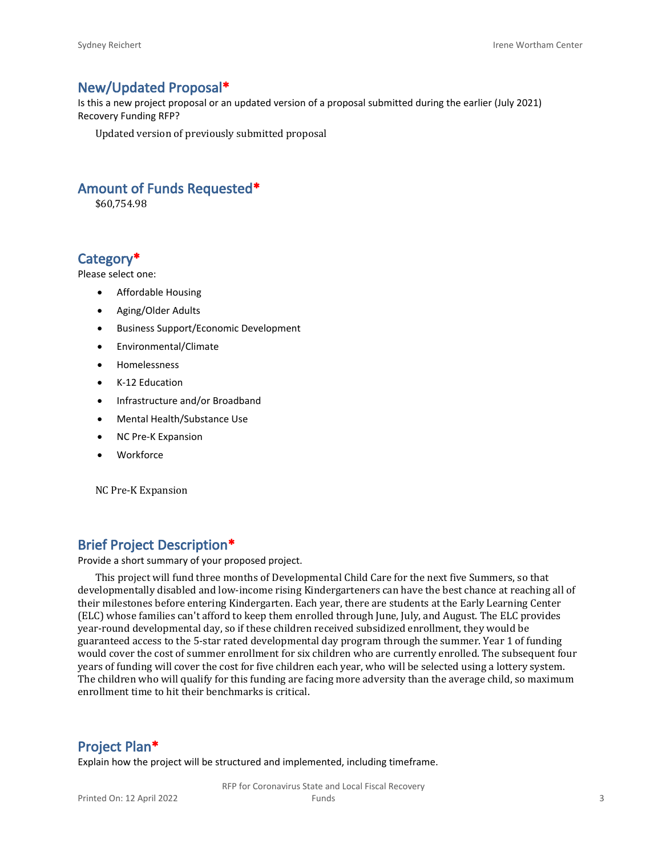#### **New/Updated Proposal\***

Is this a new project proposal or an updated version of a proposal submitted during the earlier (July 2021) Recovery Funding RFP?

Updated version of previously submitted proposal

#### **Amount of Funds Requested\***

\$60,754.98

#### **Category\***

Please select one:

- Affordable Housing
- Aging/Older Adults
- Business Support/Economic Development
- Environmental/Climate
- Homelessness
- K-12 Education
- Infrastructure and/or Broadband
- Mental Health/Substance Use
- NC Pre-K Expansion
- Workforce

NC Pre-K Expansion

#### **Brief Project Description\***

Provide a short summary of your proposed project.

This project will fund three months of Developmental Child Care for the next five Summers, so that developmentally disabled and low-income rising Kindergarteners can have the best chance at reaching all of their milestones before entering Kindergarten. Each year, there are students at the Early Learning Center (ELC) whose families can't afford to keep them enrolled through June, July, and August. The ELC provides year-round developmental day, so if these children received subsidized enrollment, they would be guaranteed access to the 5-star rated developmental day program through the summer. Year 1 of funding would cover the cost of summer enrollment for six children who are currently enrolled. The subsequent four years of funding will cover the cost for five children each year, who will be selected using a lottery system. The children who will qualify for this funding are facing more adversity than the average child, so maximum enrollment time to hit their benchmarks is critical.

#### **Project Plan\***

Explain how the project will be structured and implemented, including timeframe.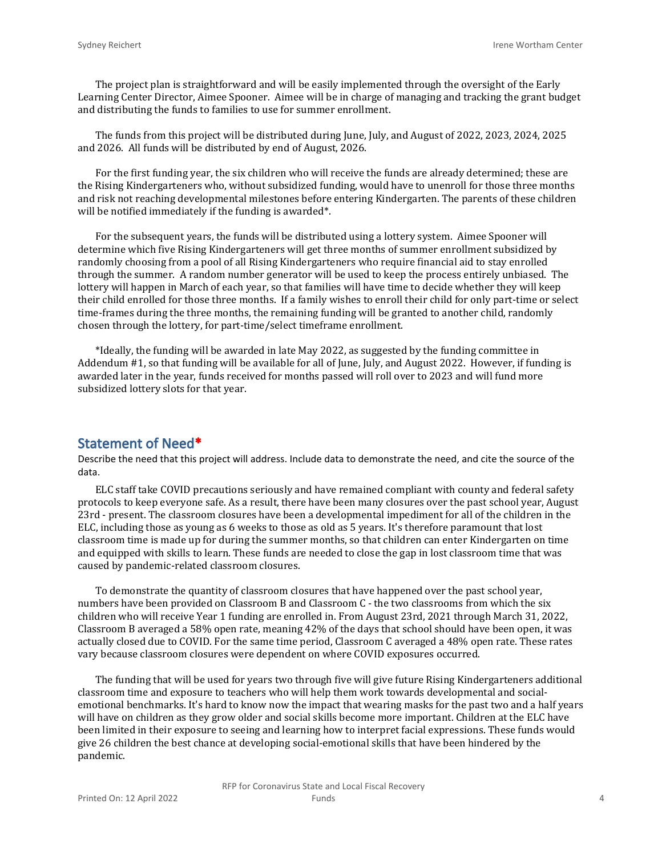The project plan is straightforward and will be easily implemented through the oversight of the Early Learning Center Director, Aimee Spooner. Aimee will be in charge of managing and tracking the grant budget and distributing the funds to families to use for summer enrollment.

The funds from this project will be distributed during June, July, and August of 2022, 2023, 2024, 2025 and 2026. All funds will be distributed by end of August, 2026.

For the first funding year, the six children who will receive the funds are already determined; these are the Rising Kindergarteners who, without subsidized funding, would have to unenroll for those three months and risk not reaching developmental milestones before entering Kindergarten. The parents of these children will be notified immediately if the funding is awarded\*.

For the subsequent years, the funds will be distributed using a lottery system. Aimee Spooner will determine which five Rising Kindergarteners will get three months of summer enrollment subsidized by randomly choosing from a pool of all Rising Kindergarteners who require financial aid to stay enrolled through the summer. A random number generator will be used to keep the process entirely unbiased. The lottery will happen in March of each year, so that families will have time to decide whether they will keep their child enrolled for those three months. If a family wishes to enroll their child for only part-time or select time-frames during the three months, the remaining funding will be granted to another child, randomly chosen through the lottery, for part-time/select timeframe enrollment.

\*Ideally, the funding will be awarded in late May 2022, as suggested by the funding committee in Addendum #1, so that funding will be available for all of June, July, and August 2022. However, if funding is awarded later in the year, funds received for months passed will roll over to 2023 and will fund more subsidized lottery slots for that year.

#### **Statement of Need\***

Describe the need that this project will address. Include data to demonstrate the need, and cite the source of the data.

ELC staff take COVID precautions seriously and have remained compliant with county and federal safety protocols to keep everyone safe. As a result, there have been many closures over the past school year, August 23rd - present. The classroom closures have been a developmental impediment for all of the children in the ELC, including those as young as 6 weeks to those as old as 5 years. It's therefore paramount that lost classroom time is made up for during the summer months, so that children can enter Kindergarten on time and equipped with skills to learn. These funds are needed to close the gap in lost classroom time that was caused by pandemic-related classroom closures.

To demonstrate the quantity of classroom closures that have happened over the past school year, numbers have been provided on Classroom B and Classroom C - the two classrooms from which the six children who will receive Year 1 funding are enrolled in. From August 23rd, 2021 through March 31, 2022, Classroom B averaged a 58% open rate, meaning 42% of the days that school should have been open, it was actually closed due to COVID. For the same time period, Classroom C averaged a 48% open rate. These rates vary because classroom closures were dependent on where COVID exposures occurred.

The funding that will be used for years two through five will give future Rising Kindergarteners additional classroom time and exposure to teachers who will help them work towards developmental and socialemotional benchmarks. It's hard to know now the impact that wearing masks for the past two and a half years will have on children as they grow older and social skills become more important. Children at the ELC have been limited in their exposure to seeing and learning how to interpret facial expressions. These funds would give 26 children the best chance at developing social-emotional skills that have been hindered by the pandemic.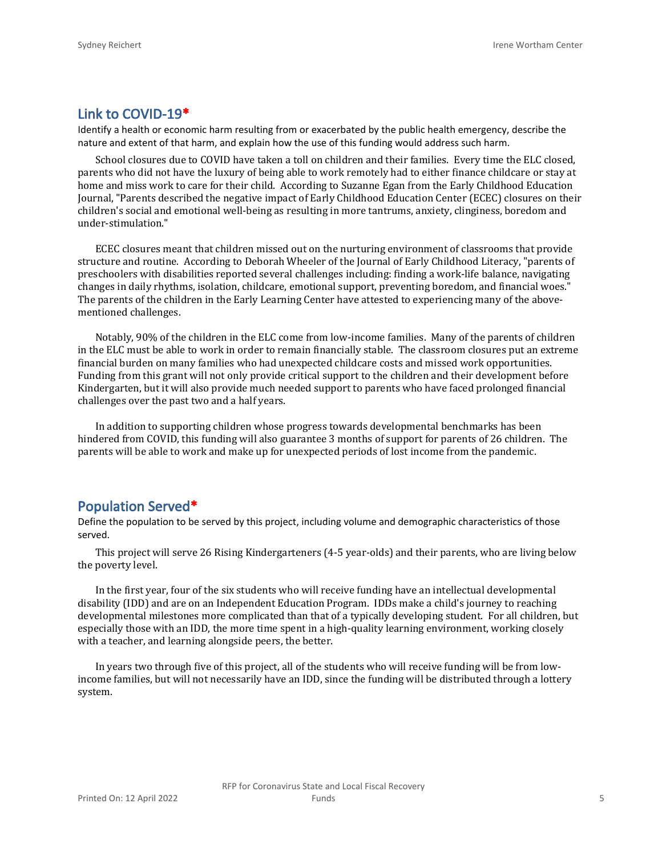#### **Link to COVID-19\***

Identify a health or economic harm resulting from or exacerbated by the public health emergency, describe the nature and extent of that harm, and explain how the use of this funding would address such harm.

School closures due to COVID have taken a toll on children and their families. Every time the ELC closed, parents who did not have the luxury of being able to work remotely had to either finance childcare or stay at home and miss work to care for their child. According to Suzanne Egan from the Early Childhood Education Journal, "Parents described the negative impact of Early Childhood Education Center (ECEC) closures on their children's social and emotional well-being as resulting in more tantrums, anxiety, clinginess, boredom and under-stimulation."

ECEC closures meant that children missed out on the nurturing environment of classrooms that provide structure and routine. According to Deborah Wheeler of the Journal of Early Childhood Literacy, "parents of preschoolers with disabilities reported several challenges including: finding a work-life balance, navigating changes in daily rhythms, isolation, childcare, emotional support, preventing boredom, and financial woes." The parents of the children in the Early Learning Center have attested to experiencing many of the abovementioned challenges.

Notably, 90% of the children in the ELC come from low-income families. Many of the parents of children in the ELC must be able to work in order to remain financially stable. The classroom closures put an extreme financial burden on many families who had unexpected childcare costs and missed work opportunities. Funding from this grant will not only provide critical support to the children and their development before Kindergarten, but it will also provide much needed support to parents who have faced prolonged financial challenges over the past two and a half years.

In addition to supporting children whose progress towards developmental benchmarks has been hindered from COVID, this funding will also guarantee 3 months of support for parents of 26 children. The parents will be able to work and make up for unexpected periods of lost income from the pandemic.

#### **Population Served\***

Define the population to be served by this project, including volume and demographic characteristics of those served.

This project will serve 26 Rising Kindergarteners (4-5 year-olds) and their parents, who are living below the poverty level.

In the first year, four of the six students who will receive funding have an intellectual developmental disability (IDD) and are on an Independent Education Program. IDDs make a child's journey to reaching developmental milestones more complicated than that of a typically developing student. For all children, but especially those with an IDD, the more time spent in a high-quality learning environment, working closely with a teacher, and learning alongside peers, the better.

In years two through five of this project, all of the students who will receive funding will be from lowincome families, but will not necessarily have an IDD, since the funding will be distributed through a lottery system.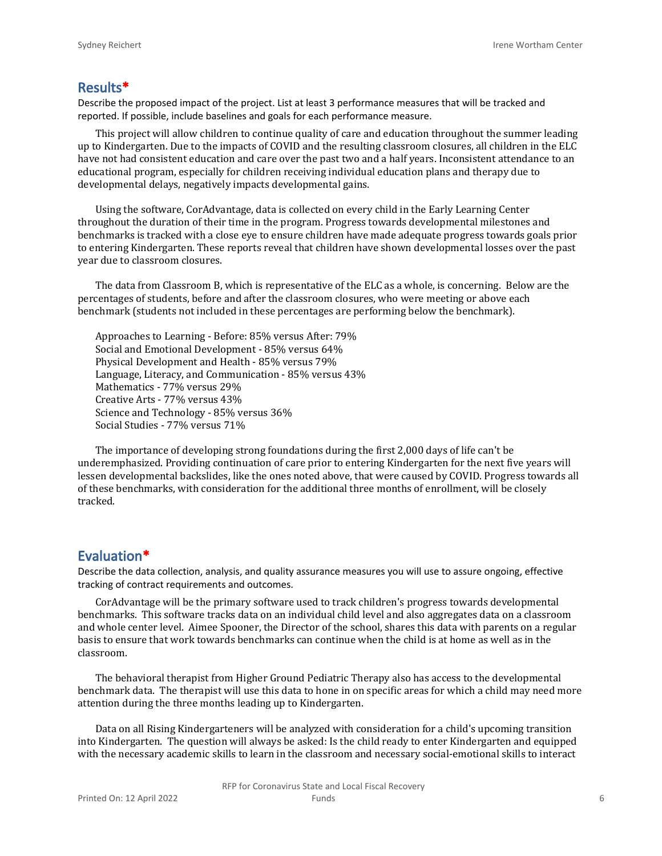#### **Results\***

Describe the proposed impact of the project. List at least 3 performance measures that will be tracked and reported. If possible, include baselines and goals for each performance measure.

This project will allow children to continue quality of care and education throughout the summer leading up to Kindergarten. Due to the impacts of COVID and the resulting classroom closures, all children in the ELC have not had consistent education and care over the past two and a half years. Inconsistent attendance to an educational program, especially for children receiving individual education plans and therapy due to developmental delays, negatively impacts developmental gains.

Using the software, CorAdvantage, data is collected on every child in the Early Learning Center throughout the duration of their time in the program. Progress towards developmental milestones and benchmarks is tracked with a close eye to ensure children have made adequate progress towards goals prior to entering Kindergarten. These reports reveal that children have shown developmental losses over the past year due to classroom closures.

The data from Classroom B, which is representative of the ELC as a whole, is concerning. Below are the percentages of students, before and after the classroom closures, who were meeting or above each benchmark (students not included in these percentages are performing below the benchmark).

Approaches to Learning - Before: 85% versus After: 79% Social and Emotional Development - 85% versus 64% Physical Development and Health - 85% versus 79% Language, Literacy, and Communication - 85% versus 43% Mathematics - 77% versus 29% Creative Arts - 77% versus 43% Science and Technology - 85% versus 36% Social Studies - 77% versus 71%

The importance of developing strong foundations during the first 2,000 days of life can't be underemphasized. Providing continuation of care prior to entering Kindergarten for the next five years will lessen developmental backslides, like the ones noted above, that were caused by COVID. Progress towards all of these benchmarks, with consideration for the additional three months of enrollment, will be closely tracked.

#### **Evaluation\***

Describe the data collection, analysis, and quality assurance measures you will use to assure ongoing, effective tracking of contract requirements and outcomes.

CorAdvantage will be the primary software used to track children's progress towards developmental benchmarks. This software tracks data on an individual child level and also aggregates data on a classroom and whole center level. Aimee Spooner, the Director of the school, shares this data with parents on a regular basis to ensure that work towards benchmarks can continue when the child is at home as well as in the classroom.

The behavioral therapist from Higher Ground Pediatric Therapy also has access to the developmental benchmark data. The therapist will use this data to hone in on specific areas for which a child may need more attention during the three months leading up to Kindergarten.

Data on all Rising Kindergarteners will be analyzed with consideration for a child's upcoming transition into Kindergarten. The question will always be asked: Is the child ready to enter Kindergarten and equipped with the necessary academic skills to learn in the classroom and necessary social-emotional skills to interact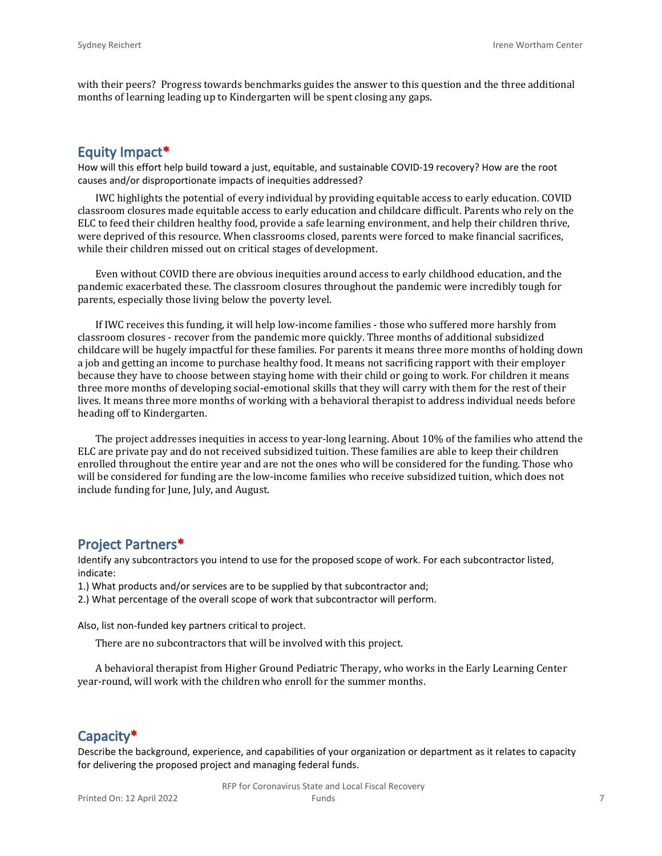with their peers? Progress towards benchmarks guides the answer to this question and the three additional months of learning leading up to Kindergarten will be spent closing any gaps.

#### **Equity Impact\***

How will this effort help build toward a just, equitable, and sustainable COVID-19 recovery? How are the root causes and/or disproportionate impacts of inequities addressed?

IWC highlights the potential of every individual by providing equitable access to early education. COVID classroom closures made equitable access to early education and childcare difficult. Parents who rely on the ELC to feed their children healthy food, provide a safe learning environment, and help their children thrive, were deprived of this resource. When classrooms closed, parents were forced to make financial sacrifices, while their children missed out on critical stages of development.

Even without COVID there are obvious inequities around access to early childhood education, and the pandemic exacerbated these. The classroom closures throughout the pandemic were incredibly tough for parents, especially those living below the poverty level.

If IWC receives this funding, it will help low-income families - those who suffered more harshly from classroom closures - recover from the pandemic more quickly. Three months of additional subsidized childcare will be hugely impactful for these families. For parents it means three more months of holding down a job and getting an income to purchase healthy food. It means not sacrificing rapport with their employer because they have to choose between staying home with their child or going to work. For children it means three more months of developing social-emotional skills that they will carry with them for the rest of their lives. It means three more months of working with a behavioral therapist to address individual needs before heading off to Kindergarten.

The project addresses inequities in access to year-long learning. About 10% of the families who attend the ELC are private pay and do not received subsidized tuition. These families are able to keep their children enrolled throughout the entire year and are not the ones who will be considered for the funding. Those who will be considered for funding are the low-income families who receive subsidized tuition, which does not include funding for June, July, and August.

#### **Project Partners\***

Identify any subcontractors you intend to use for the proposed scope of work. For each subcontractor listed, indicate:

1.) What products and/or services are to be supplied by that subcontractor and;

2.) What percentage of the overall scope of work that subcontractor will perform.

Also, list non-funded key partners critical to project.

There are no subcontractors that will be involved with this project.

A behavioral therapist from Higher Ground Pediatric Therapy, who works in the Early Learning Center year-round, will work with the children who enroll for the summer months.

#### **Capacity\***

Describe the background, experience, and capabilities of your organization or department as it relates to capacity for delivering the proposed project and managing federal funds.

> RFP for Coronavirus State and Local Fiscal Recovery Funds 7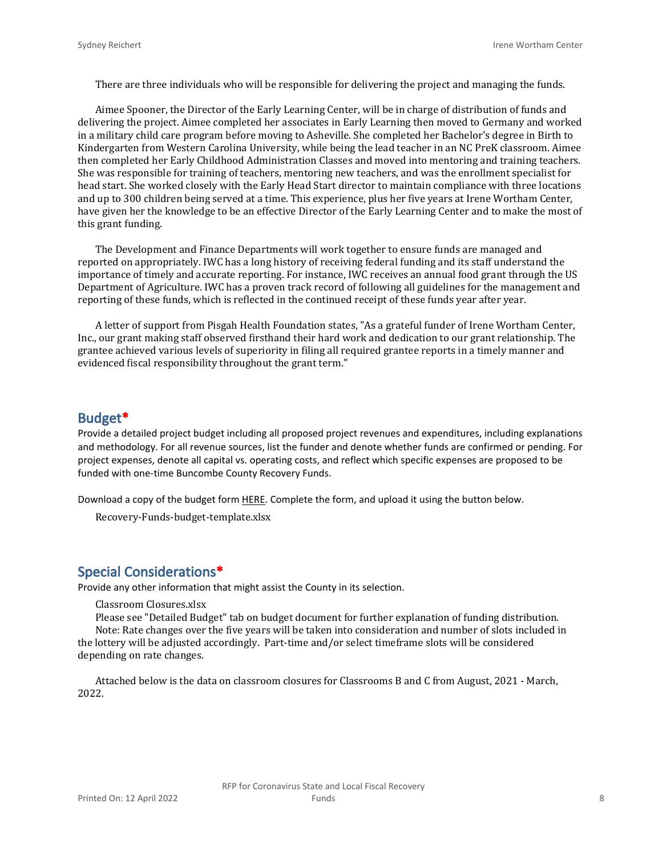There are three individuals who will be responsible for delivering the project and managing the funds.

Aimee Spooner, the Director of the Early Learning Center, will be in charge of distribution of funds and delivering the project. Aimee completed her associates in Early Learning then moved to Germany and worked in a military child care program before moving to Asheville. She completed her Bachelor's degree in Birth to Kindergarten from Western Carolina University, while being the lead teacher in an NC PreK classroom. Aimee then completed her Early Childhood Administration Classes and moved into mentoring and training teachers. She was responsible for training of teachers, mentoring new teachers, and was the enrollment specialist for head start. She worked closely with the Early Head Start director to maintain compliance with three locations and up to 300 children being served at a time. This experience, plus her five years at Irene Wortham Center, have given her the knowledge to be an effective Director of the Early Learning Center and to make the most of this grant funding.

The Development and Finance Departments will work together to ensure funds are managed and reported on appropriately. IWC has a long history of receiving federal funding and its staff understand the importance of timely and accurate reporting. For instance, IWC receives an annual food grant through the US Department of Agriculture. IWC has a proven track record of following all guidelines for the management and reporting of these funds, which is reflected in the continued receipt of these funds year after year.

A letter of support from Pisgah Health Foundation states, "As a grateful funder of Irene Wortham Center, Inc., our grant making staff observed firsthand their hard work and dedication to our grant relationship. The grantee achieved various levels of superiority in filing all required grantee reports in a timely manner and evidenced fiscal responsibility throughout the grant term."

#### **Budget\***

Provide a detailed project budget including all proposed project revenues and expenditures, including explanations and methodology. For all revenue sources, list the funder and denote whether funds are confirmed or pending. For project expenses, denote all capital vs. operating costs, and reflect which specific expenses are proposed to be funded with one-time Buncombe County Recovery Funds.

Download a copy of the budget form [HERE](https://buncombecounty.org/common/community-investment/grants/early-childhood-education/Recovery-Funds-budget-template.xlsx). Complete the form, and upload it using the button below.

Recovery-Funds-budget-template.xlsx

#### **Special Considerations\***

Provide any other information that might assist the County in its selection.

Classroom Closures.xlsx

Please see "Detailed Budget" tab on budget document for further explanation of funding distribution.

Note: Rate changes over the five years will be taken into consideration and number of slots included in the lottery will be adjusted accordingly. Part-time and/or select timeframe slots will be considered depending on rate changes.

Attached below is the data on classroom closures for Classrooms B and C from August, 2021 - March, 2022.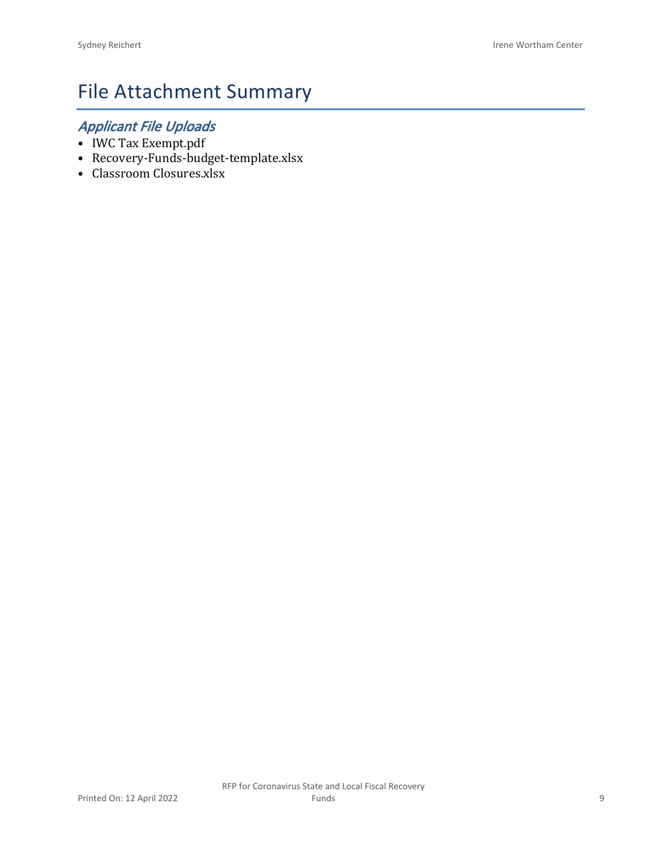## File Attachment Summary

### *Applicant File Uploads*

- IWC Tax Exempt.pdf
- Recovery-Funds-budget-template.xlsx
- Classroom Closures.xlsx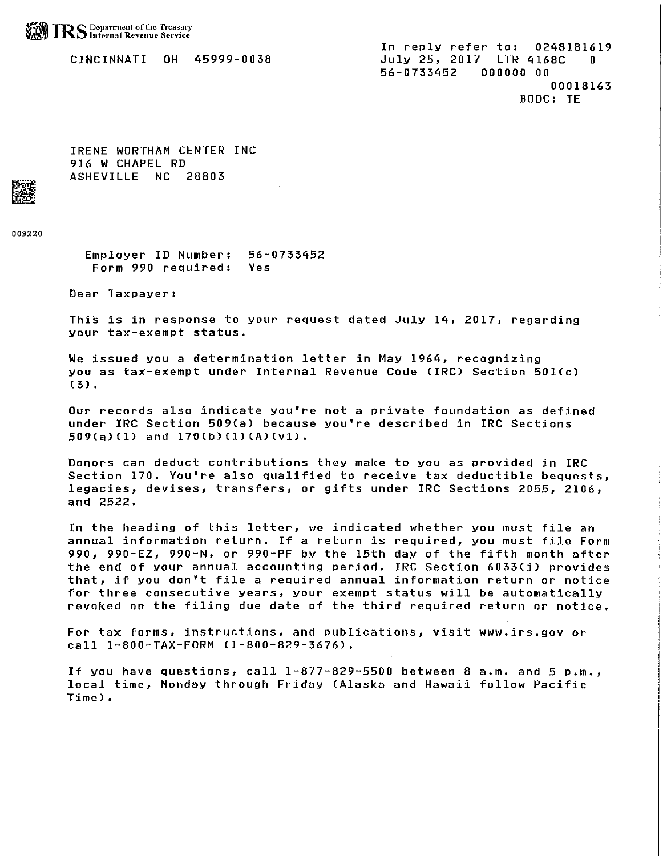

CINCINNATI OH 45999-0038

In reply refer to: 0248181619 July 25, 2017 LTR 4168C n 56-0733452 000000 00 00018163 BODC: TE

IRENE WORTHAM CENTER INC 916 W CHAPEL RD ASHEVILLE NC 28803

009220

56-0733452 Employer ID Number: Form 990 required: **Yes** 

Dear Taxpayer:

This is in response to your request dated July 14, 2017, regarding your tax-exempt status.

We issued you a determination letter in May 1964, recognizing you as tax-exempt under Internal Revenue Code (IRC) Section 501(c)  $(3)$ .

Our records also indicate you're not a private foundation as defined under IRC Section 509(a) because you're described in IRC Sections  $509(a)(1)$  and  $170(b)(1)(A)(vi)$ .

Donors can deduct contributions they make to you as provided in IRC Section 170. You're also qualified to receive tax deductible bequests, legacies, devises, transfers, or gifts under IRC Sections 2055, 2106, and 2522.

In the heading of this letter, we indicated whether you must file an annual information return. If a return is required, you must file Form 990, 990-EZ, 990-N, or 990-PF by the 15th day of the fifth month after the end of your annual accounting period. IRC Section 6033(j) provides that, if you don't file a required annual information return or notice for three consecutive years, your exempt status will be automatically revoked on the filing due date of the third required return or notice.

For tax forms, instructions, and publications, visit www.irs.gov or call 1-800-TAX-FORM (1-800-829-3676).

If you have questions, call  $1-877-829-5500$  between 8 a.m. and 5 p.m., local time, Monday through Friday (Alaska and Hawaii follow Pacific Time).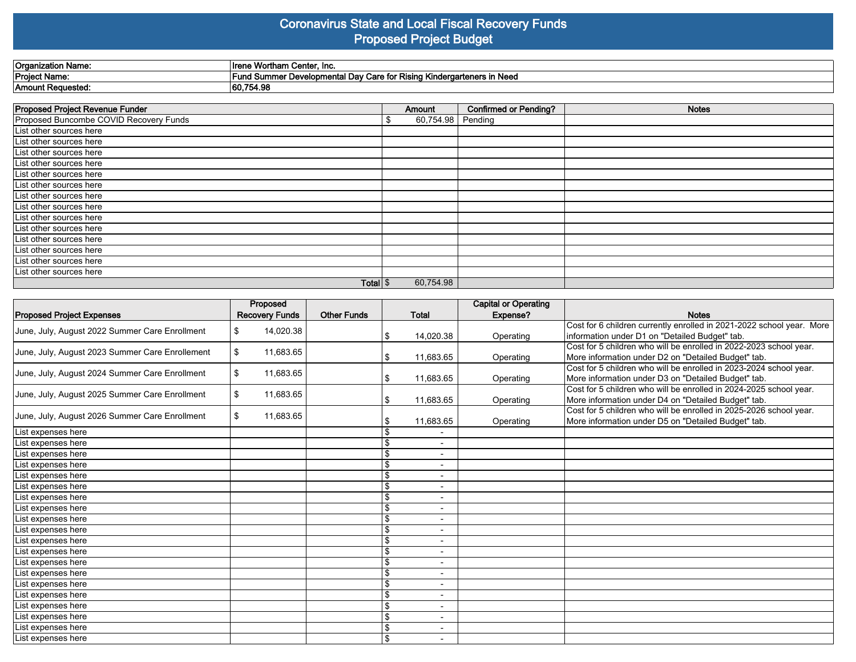#### **Coronavirus State and Local Fiscal Recovery Funds Proposed Project Budget**

| Organization Name: | ् Wortham Center, Inc.<br>l Irer                                                                                          |
|--------------------|---------------------------------------------------------------------------------------------------------------------------|
| Project Name:      | 'eners in Need<br>' Summer Develo.<br>Dav<br>sina Kinderaarten<br>. Fun<br>Care for Ris <sup>r</sup><br>: Developmental : |
| 'Amount Reauestea. | 60,754.98                                                                                                                 |

| <b>Proposed Project Revenue Funder</b> | Amount            | <b>Confirmed or Pending?</b> | <b>Notes</b> |
|----------------------------------------|-------------------|------------------------------|--------------|
| Proposed Buncombe COVID Recovery Funds | 60,754.98 Pending |                              |              |
| List other sources here                |                   |                              |              |
| List other sources here                |                   |                              |              |
| List other sources here                |                   |                              |              |
| List other sources here                |                   |                              |              |
| List other sources here                |                   |                              |              |
| List other sources here                |                   |                              |              |
| List other sources here                |                   |                              |              |
| List other sources here                |                   |                              |              |
| List other sources here                |                   |                              |              |
| List other sources here                |                   |                              |              |
| List other sources here                |                   |                              |              |
| List other sources here                |                   |                              |              |
| List other sources here                |                   |                              |              |
| List other sources here                |                   |                              |              |
| Total $\frac{1}{3}$                    | 60,754.98         |                              |              |

|                                                 | Proposed              |                    |                                            | <b>Capital or Operating</b> |                                                                       |
|-------------------------------------------------|-----------------------|--------------------|--------------------------------------------|-----------------------------|-----------------------------------------------------------------------|
| <b>Proposed Project Expenses</b>                | <b>Recovery Funds</b> | <b>Other Funds</b> | <b>Total</b>                               | Expense?                    | <b>Notes</b>                                                          |
| June, July, August 2022 Summer Care Enrollment  | 14,020.38<br>\$       |                    |                                            |                             | Cost for 6 children currently enrolled in 2021-2022 school year. More |
|                                                 |                       |                    | 14,020.38<br>S                             | Operating                   | information under D1 on "Detailed Budget" tab.                        |
| June, July, August 2023 Summer Care Enrollement | \$<br>11,683.65       |                    |                                            |                             | Cost for 5 children who will be enrolled in 2022-2023 school year.    |
|                                                 |                       |                    | 11,683.65<br>l\$                           | Operating                   | More information under D2 on "Detailed Budget" tab.                   |
| June, July, August 2024 Summer Care Enrollment  | \$<br>11,683.65       |                    |                                            |                             | Cost for 5 children who will be enrolled in 2023-2024 school year.    |
|                                                 |                       |                    | 11,683.65<br>\$                            | Operating                   | More information under D3 on "Detailed Budget" tab.                   |
| June, July, August 2025 Summer Care Enrollment  | \$<br>11,683.65       |                    |                                            |                             | Cost for 5 children who will be enrolled in 2024-2025 school year.    |
|                                                 |                       |                    | 11,683.65<br>S                             | Operating                   | More information under D4 on "Detailed Budget" tab.                   |
| June, July, August 2026 Summer Care Enrollment  | \$<br>11,683.65       |                    |                                            |                             | Cost for 5 children who will be enrolled in 2025-2026 school year.    |
|                                                 |                       |                    | 11,683.65<br>\$                            | Operating                   | More information under D5 on "Detailed Budget" tab.                   |
| List expenses here                              |                       |                    |                                            |                             |                                                                       |
| List expenses here                              |                       |                    | \$<br>$\overline{\phantom{a}}$             |                             |                                                                       |
| List expenses here                              |                       |                    | \$<br>$\overline{\phantom{a}}$             |                             |                                                                       |
| List expenses here                              |                       |                    | \$<br>$\qquad \qquad \blacksquare$         |                             |                                                                       |
| List expenses here                              |                       |                    | \$<br>$\overline{\phantom{a}}$             |                             |                                                                       |
| List expenses here                              |                       |                    | $\mathfrak{L}$<br>$\overline{\phantom{0}}$ |                             |                                                                       |
| List expenses here                              |                       |                    | \$<br>$\qquad \qquad \blacksquare$         |                             |                                                                       |
| List expenses here                              |                       |                    | \$<br>$\overline{\phantom{0}}$             |                             |                                                                       |
| List expenses here                              |                       |                    | $\mathfrak{L}$<br>$\overline{\phantom{0}}$ |                             |                                                                       |
| List expenses here                              |                       |                    | $\blacksquare$                             |                             |                                                                       |
| List expenses here                              |                       |                    | \$<br>$\overline{\phantom{a}}$             |                             |                                                                       |
| List expenses here                              |                       |                    | \$<br>$\overline{\phantom{0}}$             |                             |                                                                       |
| List expenses here                              |                       |                    | \$<br>$\overline{\phantom{a}}$             |                             |                                                                       |
| List expenses here                              |                       |                    | \$<br>$\overline{\phantom{a}}$             |                             |                                                                       |
| List expenses here                              |                       |                    | \$<br>$\overline{\phantom{0}}$             |                             |                                                                       |
| List expenses here                              |                       |                    | \$<br>$\overline{\phantom{a}}$             |                             |                                                                       |
| List expenses here                              |                       |                    | \$<br>$\blacksquare$                       |                             |                                                                       |
| List expenses here                              |                       |                    | \$<br>$\qquad \qquad \blacksquare$         |                             |                                                                       |
| List expenses here                              |                       |                    | \$<br>$\overline{\phantom{0}}$             |                             |                                                                       |
| List expenses here                              |                       |                    | \$<br>$\overline{\phantom{0}}$             |                             |                                                                       |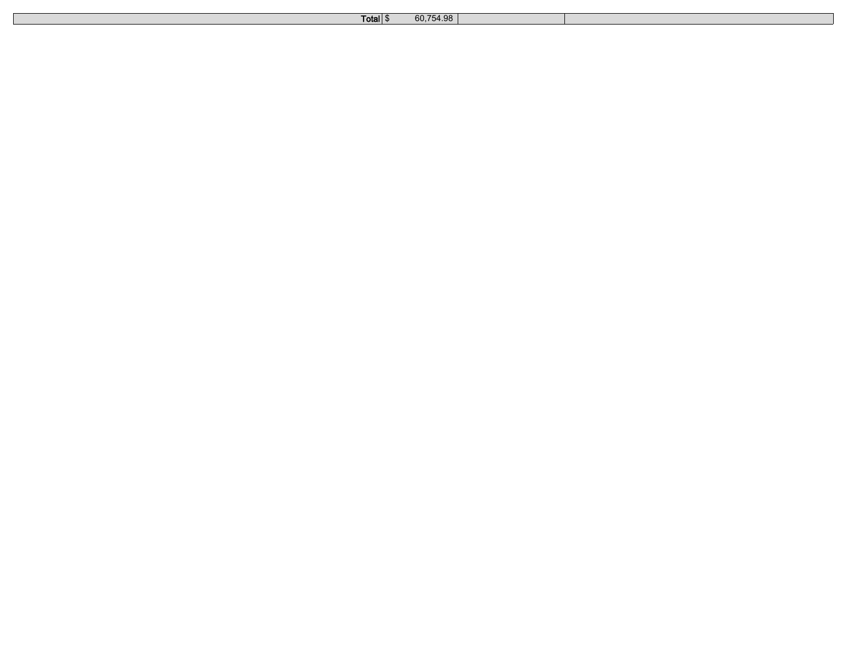| rotall \$<br>. | 60 |  |
|----------------|----|--|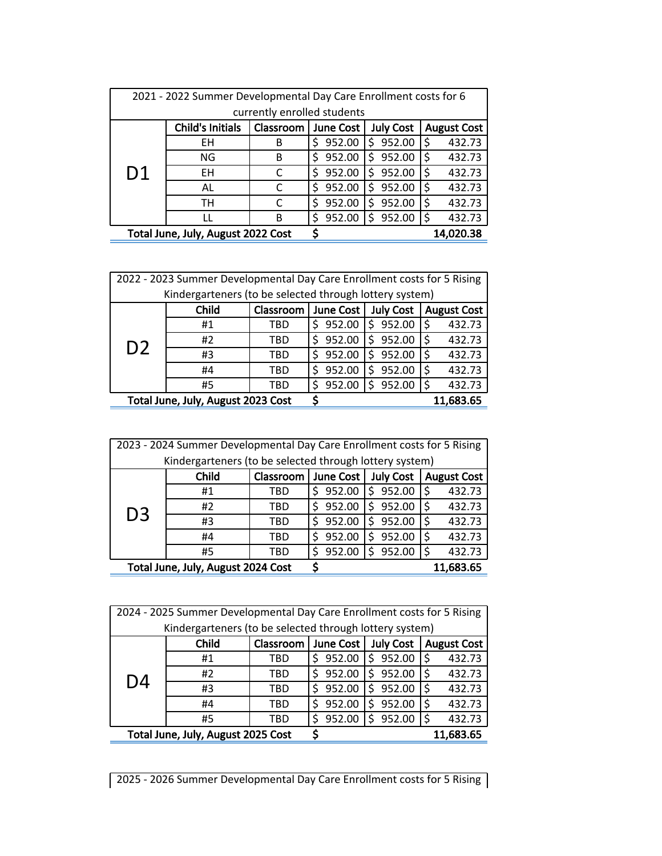| 2021 - 2022 Summer Developmental Day Care Enrollment costs for 6 |                                                                                                    |   |    |        |   |          |     |           |
|------------------------------------------------------------------|----------------------------------------------------------------------------------------------------|---|----|--------|---|----------|-----|-----------|
|                                                                  | currently enrolled students                                                                        |   |    |        |   |          |     |           |
|                                                                  | <b>Child's Initials</b><br><b>June Cost</b><br><b>July Cost</b><br>Classroom<br><b>August Cost</b> |   |    |        |   |          |     |           |
|                                                                  | <b>EH</b>                                                                                          | В | Ś  | 952.00 |   | \$952.00 | \$  | 432.73    |
|                                                                  | NG.                                                                                                | B | Ś  | 952.00 | Ś | 952.00   | Ś   | 432.73    |
| D1                                                               | <b>EH</b>                                                                                          |   | \$ | 952.00 | Ś | 952.00   | -S  | 432.73    |
|                                                                  | AL                                                                                                 |   | Ś  | 952.00 | Ś | 952.00   | \$  | 432.73    |
|                                                                  | TН                                                                                                 |   | \$ | 952.00 | Ś | 952.00   | Ś.  | 432.73    |
|                                                                  |                                                                                                    | B | \$ | 952.00 | Ś | 952.00   | I\$ | 432.73    |
|                                                                  | Total June, July, August 2022 Cost                                                                 |   |    |        |   |          |     | 14,020.38 |

|                | 2022 - 2023 Summer Developmental Day Care Enrollment costs for 5 Rising |           |           |               |                         |  |
|----------------|-------------------------------------------------------------------------|-----------|-----------|---------------|-------------------------|--|
|                | Kindergarteners (to be selected through lottery system)                 |           |           |               |                         |  |
|                | Child                                                                   | Classroom | June Cost |               | July Cost   August Cost |  |
|                | #1                                                                      | TBD       | \$952.00  | \$952.00      | 432.73                  |  |
| D <sub>2</sub> | #2                                                                      | TBD       | \$952.00  | \$952.00      | 432.73                  |  |
|                | #3                                                                      | TBD       | 952.00    | 952.00<br>\$. | 432.73                  |  |
|                | #4                                                                      | TBD       | 952.00    | 952.00<br>S.  | 432.73                  |  |
|                | #5                                                                      | TBD       | 952.00    | \$952.00      | 432.73                  |  |
|                | Total June, July, August 2023 Cost                                      |           |           |               | 11,683.65               |  |

|                                    | 2023 - 2024 Summer Developmental Day Care Enrollment costs for 5 Rising |     |             |             |               |  |
|------------------------------------|-------------------------------------------------------------------------|-----|-------------|-------------|---------------|--|
|                                    | Kindergarteners (to be selected through lottery system)                 |     |             |             |               |  |
|                                    | June Cost   July Cost<br>Child<br>Classroom<br><b>August Cost</b>       |     |             |             |               |  |
|                                    | #1                                                                      | TBD | 952.00<br>Ś | \$952.00    | 432.73        |  |
| D <sub>3</sub>                     | #2                                                                      | TBD | 952.00<br>S | 952.00<br>S | 432.73<br>۱Ś  |  |
|                                    | #3                                                                      | TBD | 952.00<br>Ŝ | \$952.00    | 432.73<br>۱Ś  |  |
|                                    | #4                                                                      | TBD | 952.00<br>Ŝ | 952.00<br>Ś | 432.73<br>Ŝ.  |  |
|                                    | #5                                                                      | TBD | 952.00<br>Ŝ | \$952.00    | 432.73<br>l\$ |  |
| Total June, July, August 2024 Cost |                                                                         |     |             | 11,683.65   |               |  |

| 2024 - 2025 Summer Developmental Day Care Enrollment costs for 5 Rising |                                                         |     |              |              |                    |
|-------------------------------------------------------------------------|---------------------------------------------------------|-----|--------------|--------------|--------------------|
|                                                                         | Kindergarteners (to be selected through lottery system) |     |              |              |                    |
|                                                                         | Child<br>June Cost<br><b>July Cost</b><br>Classroom     |     |              |              | <b>August Cost</b> |
|                                                                         | #1                                                      | TBD | 952.00       | 952.00<br>S  | 432.73<br>\$       |
| D4                                                                      | #2                                                      | TBD | 952.00       | 952.00<br>S  | 432.73<br>\$       |
|                                                                         | #3                                                      | TBD | 952.00       | 952.00<br>S  | 432.73<br>Ś.       |
|                                                                         | #4                                                      | TBD | 952.00<br>Š. | 952.00<br>S  | 432.73<br>\$       |
|                                                                         | #5                                                      | TBD | 952.00<br>Ś  | 952.00<br>Š. | 432.73<br>\$       |
|                                                                         | Total June, July, August 2025 Cost                      |     | Ş            |              | 11,683.65          |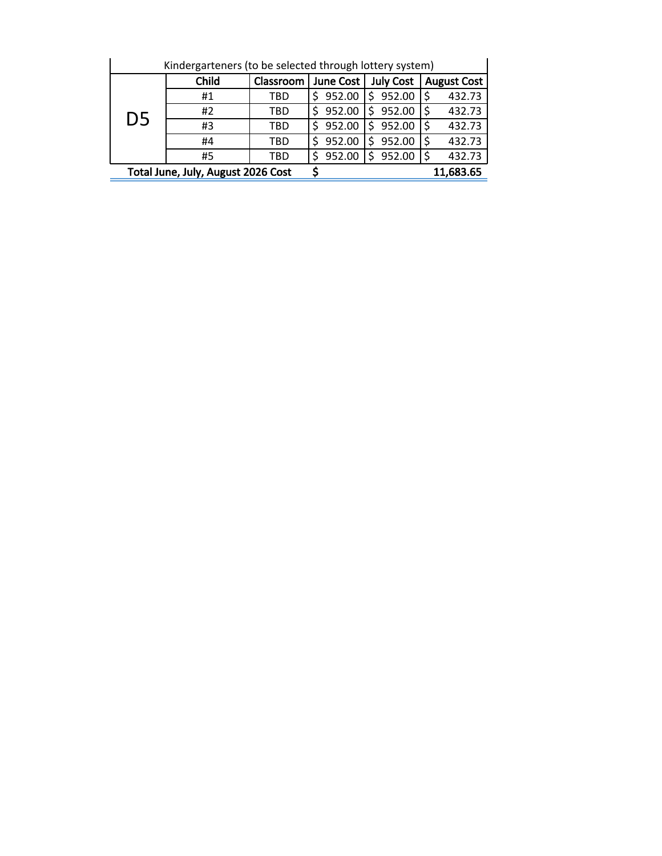| Kindergarteners (to be selected through lottery system) |                                    |           |           |                  |                    |
|---------------------------------------------------------|------------------------------------|-----------|-----------|------------------|--------------------|
|                                                         | Child                              | Classroom | June Cost | <b>July Cost</b> | <b>August Cost</b> |
|                                                         | #1                                 | TBD       | 952.00    | 952.00<br>\$     | 432.73             |
|                                                         | #2                                 | TBD       | 952.00    | 952.00           | \$<br>432.73       |
| D5                                                      | #3                                 | TBD       | 952.00    | 952.00           | \$<br>432.73       |
|                                                         | #4                                 | TBD       | 952.00    | 952.00           | \$<br>432.73       |
|                                                         | #5                                 | TBD       | 952.00    | 952.00           | \$<br>432.73       |
|                                                         | Total June, July, August 2026 Cost |           |           |                  | 11,683.65          |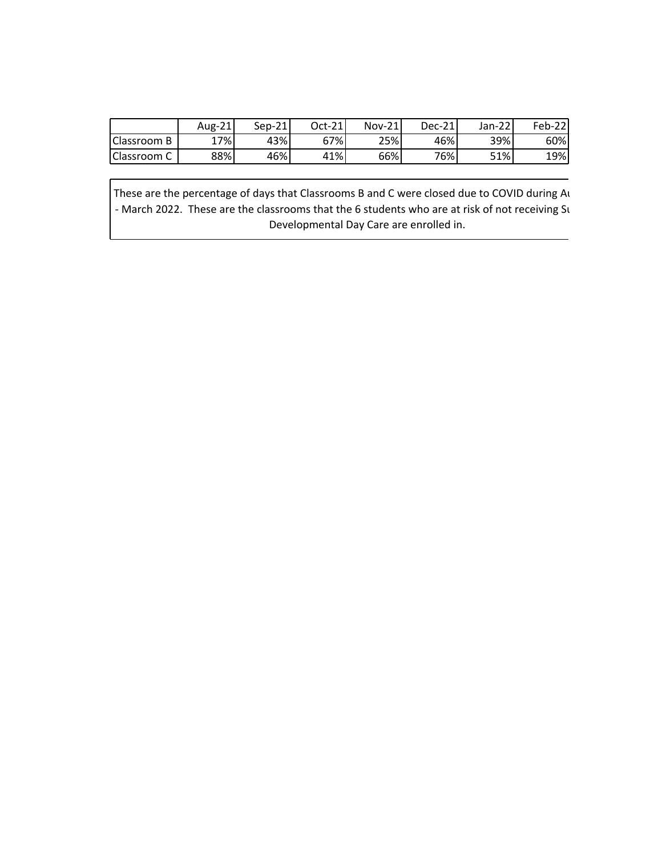|                          | $\mathcal{L}$<br>Aug-21 | 21.<br>Sep-21 | Oct-21 | <b>Nov-21</b> | Dec-21 | າາ<br>Jan-22 | <b>Feb-221</b> |
|--------------------------|-------------------------|---------------|--------|---------------|--------|--------------|----------------|
| Classroom B              | 7%                      | 43%           | 67%    | 25%           | 46%    | 39%          | 60%            |
| <sup>I</sup> Classroom C | 88%                     | 46%           | 41%    | 66%l          | 76%    | 51%          | 19%            |

These are the percentage of days that Classrooms B and C were closed due to COVID during August - March 2022. These are the classrooms that the 6 students who are at risk of not receiving Sum Developmental Day Care are enrolled in.